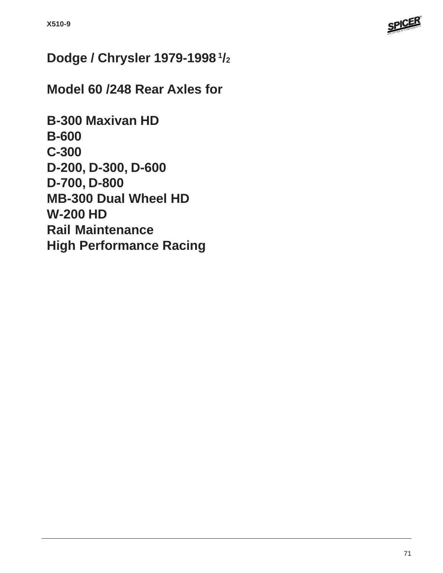

# **Dodge / Chrysler 1979-1998 1/2**

# **Model 60 /248 Rear Axles for**

**B-300 Maxivan HD B-600 C-300 D-200, D-300, D-600 D-700, D-800 MB-300 Dual Wheel HD W-200 HD Rail Maintenance High Performance Racing**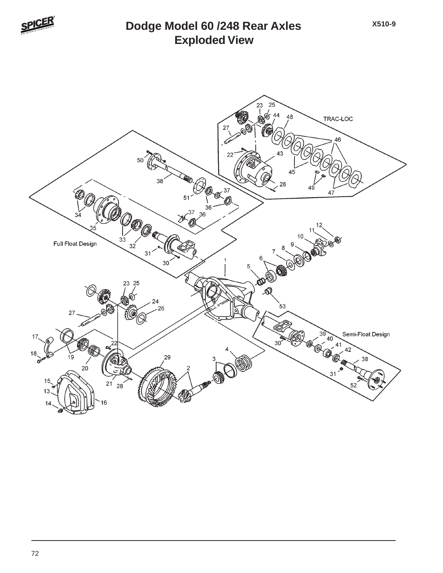

## **Exploded View Dodge Model 60 /248 Rear Axles**

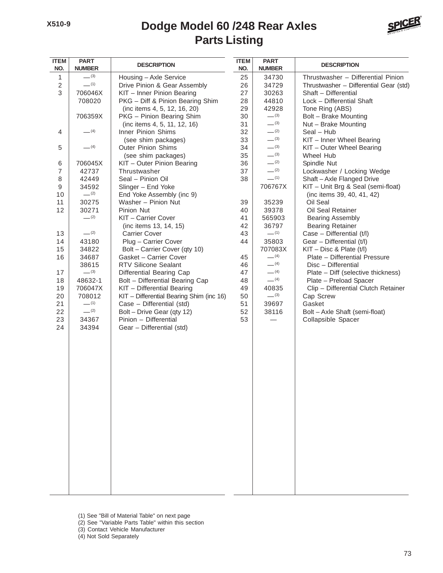#### **Parts Listing Dodge Model 60 /248 Rear Axles**



| <b>ITEM</b><br>NO. | <b>PART</b><br><b>NUMBER</b> | <b>DESCRIPTION</b>                                      | <b>ITEM</b><br>NO. | <b>PART</b><br><b>NUMBER</b> | <b>DESCRIPTION</b>                                        |
|--------------------|------------------------------|---------------------------------------------------------|--------------------|------------------------------|-----------------------------------------------------------|
| 1                  | $-^{(3)}$                    | Housing - Axle Service                                  | 25                 | 34730                        | Thrustwasher - Differential Pinion                        |
| $\sqrt{2}$         | $-^{(1)}$                    | Drive Pinion & Gear Assembly                            | 26                 | 34729                        | Thrustwasher - Differential Gear (std)                    |
| $\sqrt{3}$         | 706046X                      | KIT - Inner Pinion Bearing                              | 27                 | 30263                        | Shaft - Differential                                      |
|                    | 708020                       | PKG - Diff & Pinion Bearing Shim                        | 28                 | 44810                        | Lock - Differential Shaft                                 |
|                    |                              | (inc items 4, 5, 12, 16, 20)                            | 29                 | 42928                        | Tone Ring (ABS)                                           |
|                    | 706359X                      | PKG - Pinion Bearing Shim                               | 30                 | $-^{(3)}$                    | Bolt - Brake Mounting                                     |
|                    |                              | (inc items 4, 5, 11, 12, 16)                            | 31                 | $-^{(3)}$                    | Nut - Brake Mounting                                      |
| 4                  | $-$ (4)                      | Inner Pinion Shims                                      | 32                 | $-^{(2)}$                    | Seal - Hub                                                |
|                    |                              | (see shim packages)                                     | 33                 | $-^{(3)}$                    | KIT - Inner Wheel Bearing                                 |
| 5                  | $-$ (4)                      | <b>Outer Pinion Shims</b>                               | 34                 | $-^{(3)}$                    | KIT - Outer Wheel Bearing                                 |
|                    |                              | (see shim packages)                                     | 35                 | $-^{(3)}$                    | Wheel Hub                                                 |
| 6                  | 706045X                      | KIT - Outer Pinion Bearing                              | 36                 | $-^{(2)}$                    | Spindle Nut                                               |
| $\overline{7}$     | 42737                        | Thrustwasher                                            | 37                 | $-^{(2)}$                    | Lockwasher / Locking Wedge                                |
| 8                  | 42449                        | Seal - Pinion Oil                                       | 38                 | $-^{(1)}$                    | Shaft - Axle Flanged Drive                                |
| 9                  | 34592                        | Slinger - End Yoke                                      |                    | 706767X                      | KIT - Unit Brg & Seal (semi-float)                        |
| 10                 | $-^{(2)}$                    | End Yoke Assembly (inc 9)                               |                    |                              | (inc items 39, 40, 41, 42)                                |
| 11                 | 30275                        | Washer - Pinion Nut                                     | 39                 | 35239                        | Oil Seal                                                  |
| 12                 | 30271                        | Pinion Nut                                              | 40                 | 39378                        | Oil Seal Retainer                                         |
|                    | $-^{(2)}$                    | KIT - Carrier Cover                                     | 41                 | 565903                       | <b>Bearing Assembly</b>                                   |
|                    |                              | (inc items 13, 14, 15)                                  | 42                 | 36797<br>$-$ (1)             | <b>Bearing Retainer</b>                                   |
| 13                 | $-^{(2)}$                    | <b>Carrier Cover</b>                                    | 43                 | 35803                        | Case - Differential (t/l)                                 |
| 14<br>15           | 43180<br>34822               | Plug - Carrier Cover                                    | 44                 | 707083X                      | Gear - Differential (t/l)<br>$KIT - Disc 8$ Plate $(t/I)$ |
| 16                 | 34687                        | Bolt - Carrier Cover (qty 10)<br>Gasket - Carrier Cover | 45                 | $- (4)$                      | Plate - Differential Pressure                             |
|                    | 38615                        | <b>RTV Silicone Sealant</b>                             | 46                 | $- (4)$                      | Disc - Differential                                       |
| 17                 | $-^{(3)}$                    | Differential Bearing Cap                                | 47                 | $-$ (4)                      | Plate - Diff (selective thickness)                        |
| 18                 | 48632-1                      | Bolt - Differential Bearing Cap                         | 48                 | $- (4)$                      | Plate - Preload Spacer                                    |
| 19                 | 706047X                      | KIT - Differential Bearing                              | 49                 | 40835                        | Clip - Differential Clutch Retainer                       |
| 20                 | 708012                       | KIT - Differential Bearing Shim (inc 16)                | 50                 | $-^{(3)}$                    | Cap Screw                                                 |
| 21                 | $-$ (1)                      | Case - Differential (std)                               | 51                 | 39697                        | Gasket                                                    |
| 22                 | $-^{(2)}$                    | Bolt - Drive Gear (qty 12)                              | 52                 | 38116                        | Bolt - Axle Shaft (semi-float)                            |
| 23                 | 34367                        | Pinion - Differential                                   | 53                 |                              | Collapsible Spacer                                        |
| 24                 | 34394                        | Gear - Differential (std)                               |                    |                              |                                                           |
|                    |                              |                                                         |                    |                              |                                                           |
|                    |                              |                                                         |                    |                              |                                                           |
|                    |                              |                                                         |                    |                              |                                                           |
|                    |                              |                                                         |                    |                              |                                                           |
|                    |                              |                                                         |                    |                              |                                                           |
|                    |                              |                                                         |                    |                              |                                                           |
|                    |                              |                                                         |                    |                              |                                                           |
|                    |                              |                                                         |                    |                              |                                                           |
|                    |                              |                                                         |                    |                              |                                                           |
|                    |                              |                                                         |                    |                              |                                                           |
|                    |                              |                                                         |                    |                              |                                                           |
|                    |                              |                                                         |                    |                              |                                                           |
|                    |                              |                                                         |                    |                              |                                                           |
|                    |                              |                                                         |                    |                              |                                                           |
|                    |                              |                                                         |                    |                              |                                                           |
|                    |                              |                                                         |                    |                              |                                                           |
|                    |                              |                                                         |                    |                              |                                                           |
|                    |                              |                                                         |                    |                              |                                                           |
|                    |                              |                                                         |                    |                              |                                                           |
|                    |                              |                                                         |                    |                              |                                                           |
|                    |                              |                                                         |                    |                              |                                                           |

- (1) See "Bill of Material Table" on next page
- (2) See "Variable Parts Table" within this section
- (3) Contact Vehicle Manufacturer
- (4) Not Sold Separately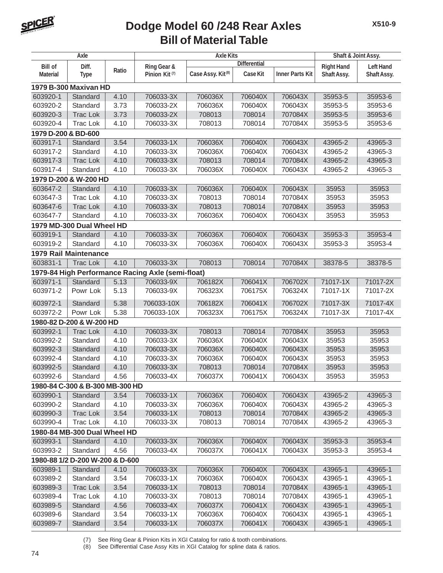

### **Bill of Material Table Dodge Model 60 /248 Rear Axles**

| Axle                            |                                 | <b>Axle Kits</b> |                                                   |                               |                     | Shaft & Joint Assy.    |                   |                  |  |  |
|---------------------------------|---------------------------------|------------------|---------------------------------------------------|-------------------------------|---------------------|------------------------|-------------------|------------------|--|--|
| <b>Bill of</b>                  | Diff.                           |                  | <b>Ring Gear &amp;</b>                            |                               | <b>Differential</b> |                        | <b>Right Hand</b> | <b>Left Hand</b> |  |  |
| <b>Material</b>                 | <b>Type</b>                     | Ratio            | Pinion Kit <sup>(7)</sup>                         | Case Assy. Kit <sup>(8)</sup> | Case Kit            | <b>Inner Parts Kit</b> | Shaft Assy.       | Shaft Assy.      |  |  |
| 1979 B-300 Maxivan HD           |                                 |                  |                                                   |                               |                     |                        |                   |                  |  |  |
| 603920-1                        | Standard                        | 4.10             | 706033-3X                                         | 706036X                       | 706040X             | 706043X                | 35953-5           | 35953-6          |  |  |
| 603920-2                        | Standard                        | 3.73             | 706033-2X                                         | 706036X                       | 706040X             | 706043X                | 35953-5           | 35953-6          |  |  |
| 603920-3                        | <b>Trac Lok</b>                 | 3.73             | 706033-2X                                         | 708013                        | 708014              | 707084X                | 35953-5           | 35953-6          |  |  |
| 603920-4                        | <b>Trac Lok</b>                 | 4.10             | 706033-3X                                         | 708013                        | 708014              | 707084X                | 35953-5           | 35953-6          |  |  |
| 1979 D-200 & BD-600             |                                 |                  |                                                   |                               |                     |                        |                   |                  |  |  |
| 603917-1                        | Standard                        | 3.54             | 706033-1X                                         | 706036X                       | 706040X             | 706043X                | 43965-2           | 43965-3          |  |  |
| 603917-2                        | Standard                        | 4.10             | 706033-3X                                         | 706036X                       | 706040X             | 706043X                | 43965-2           | 43965-3          |  |  |
| 603917-3                        | <b>Trac Lok</b>                 | 4.10             | 706033-3X                                         | 708013                        | 708014              | 707084X                | 43965-2           | 43965-3          |  |  |
| 603917-4                        | Standard                        | 4.10             | 706033-3X                                         | 706036X                       | 706040X             | 706043X                | 43965-2           | 43965-3          |  |  |
|                                 | 1979 D-200 & W-200 HD           |                  |                                                   |                               |                     |                        |                   |                  |  |  |
| 603647-2                        | Standard                        | 4.10             | 706033-3X                                         | 706036X                       | 706040X             | 706043X                | 35953             | 35953            |  |  |
| 603647-3                        | <b>Trac Lok</b>                 | 4.10             | 706033-3X                                         | 708013                        | 708014              | 707084X                | 35953             | 35953            |  |  |
| 603647-6                        | <b>Trac Lok</b>                 | 4.10             | 706033-3X                                         | 708013                        | 708014              | 707084X                | 35953             | 35953            |  |  |
| 603647-7                        | Standard                        | 4.10             | 706033-3X                                         | 706036X                       | 706040X             | 706043X                | 35953             | 35953            |  |  |
|                                 | 1979 MD-300 Dual Wheel HD       |                  |                                                   |                               |                     |                        |                   |                  |  |  |
| 603919-1                        | Standard                        | 4.10             | 706033-3X                                         | 706036X                       | 706040X             | 706043X                | 35953-3           | 35953-4          |  |  |
| 603919-2                        | Standard                        | 4.10             | 706033-3X                                         | 706036X                       | 706040X             | 706043X                | 35953-3           | 35953-4          |  |  |
|                                 | <b>1979 Rail Maintenance</b>    |                  |                                                   |                               |                     |                        |                   |                  |  |  |
| 603831-1                        | <b>Trac Lok</b>                 | 4.10             | 706033-3X                                         | 708013                        | 708014              | 707084X                | 38378-5           | 38378-5          |  |  |
|                                 |                                 |                  | 1979-84 High Performance Racing Axle (semi-float) |                               |                     |                        |                   |                  |  |  |
| 603971-1                        | Standard                        | 5.13             | 706033-9X                                         | 706182X                       | 706041X             | 706702X                | 71017-1X          | 71017-2X         |  |  |
| 603971-2                        | Powr Lok                        | 5.13             | 706033-9X                                         | 706323X                       | 706175X             | 706324X                | 71017-1X          | 71017-2X         |  |  |
| 603972-1                        | Standard                        | 5.38             | 706033-10X                                        | 706182X                       | 706041X             | 706702X                | 71017-3X          | 71017-4X         |  |  |
| 603972-2                        | Powr Lok                        | 5.38             | 706033-10X                                        | 706323X                       | 706175X             | 706324X                | 71017-3X          | 71017-4X         |  |  |
|                                 | 1980-82 D-200 & W-200 HD        |                  |                                                   |                               |                     |                        |                   |                  |  |  |
| 603992-1                        | <b>Trac Lok</b>                 | 4.10             | 706033-3X                                         | 708013                        | 708014              | 707084X                | 35953             | 35953            |  |  |
| 603992-2                        | Standard                        | 4.10             | 706033-3X                                         | 706036X                       | 706040X             | 706043X                | 35953             | 35953            |  |  |
| 603992-3                        | Standard                        | 4.10             | 706033-3X                                         | 706036X                       | 706040X             | 706043X                | 35953             | 35953            |  |  |
| 603992-4                        | Standard                        | 4.10             | 706033-3X                                         | 706036X                       | 706040X             | 706043X                | 35953             | 35953            |  |  |
| 603992-5                        | Standard                        | 4.10             | 706033-3X                                         | 708013                        | 708014              | 707084X                | 35953             | 35953            |  |  |
| 603992-6                        | Standard                        | 4.56             | 706033-4X                                         | 706037X                       | 706041X             | 706043X                | 35953             | 35953            |  |  |
|                                 | 1980-84 C-300 & B-300 MB-300 HD |                  |                                                   |                               |                     |                        |                   |                  |  |  |
| 603990-1                        | Standard                        | 3.54             | 706033-1X                                         | 706036X                       | 706040X             | 706043X                | 43965-2           | 43965-3          |  |  |
| 603990-2                        | Standard                        | 4.10             | 706033-3X                                         | 706036X                       | 706040X             | 706043X                | 43965-2           | 43965-3          |  |  |
| 603990-3                        | <b>Trac Lok</b>                 | 3.54             | 706033-1X                                         | 708013                        | 708014              | 707084X                | 43965-2           | 43965-3          |  |  |
| 603990-4                        | Trac Lok                        | 4.10             | 706033-3X                                         | 708013                        | 708014              | 707084X                | 43965-2           | 43965-3          |  |  |
|                                 | 1980-84 MB-300 Dual Wheel HD    |                  |                                                   |                               |                     |                        |                   |                  |  |  |
| 603993-1                        | Standard                        | 4.10             | 706033-3X                                         | 706036X                       | 706040X             | 706043X                | 35953-3           | 35953-4          |  |  |
| 603993-2                        | Standard                        | 4.56             | 706033-4X                                         | 706037X                       | 706041X             | 706043X                | 35953-3           | 35953-4          |  |  |
| 1980-88 1/2 D-200 W-200 & D-600 |                                 |                  |                                                   |                               |                     |                        |                   |                  |  |  |
| 603989-1                        | Standard                        | 4.10             | 706033-3X                                         | 706036X                       | 706040X             | 706043X                | 43965-1           | 43965-1          |  |  |
| 603989-2                        | Standard                        | 3.54             | 706033-1X                                         | 706036X                       | 706040X             | 706043X                | 43965-1           | 43965-1          |  |  |
| 603989-3                        | Trac Lok                        | 3.54             | 706033-1X                                         | 708013                        | 708014              | 707084X                | 43965-1           | 43965-1          |  |  |
| 603989-4                        | Trac Lok                        | 4.10             | 706033-3X                                         | 708013                        | 708014              | 707084X                | 43965-1           | 43965-1          |  |  |
| 603989-5                        | Standard                        | 4.56             | 706033-4X                                         | 706037X                       | 706041X             | 706043X                | 43965-1           | 43965-1          |  |  |
| 603989-6                        | Standard                        | 3.54             | 706033-1X                                         | 706036X                       | 706040X             | 706043X                | 43965-1           | 43965-1          |  |  |
| 603989-7                        | Standard                        | 3.54             | 706033-1X                                         | 706037X                       | 706041X             | 706043X                | 43965-1           | 43965-1          |  |  |

(7) See Ring Gear & Pinion Kits in XGI Catalog for ratio & tooth combinations.

(8) See Differential Case Assy Kits in XGI Catalog for spline data & ratios.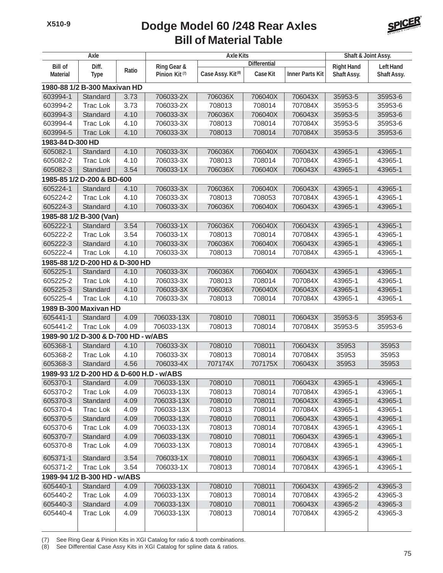#### **Bill of Material Table Dodge Model 60 /248 Rear Axles**



| Axle                 |                                          | <b>Axle Kits</b> |                           |                               |                     | Shaft & Joint Assy.    |                    |                    |  |  |  |
|----------------------|------------------------------------------|------------------|---------------------------|-------------------------------|---------------------|------------------------|--------------------|--------------------|--|--|--|
| <b>Bill of</b>       | Diff.                                    |                  | Ring Gear &               |                               | <b>Differential</b> |                        | <b>Right Hand</b>  | <b>Left Hand</b>   |  |  |  |
| <b>Material</b>      | <b>Type</b>                              | Ratio            | Pinion Kit <sup>(7)</sup> | Case Assy. Kit <sup>(8)</sup> | <b>Case Kit</b>     | <b>Inner Parts Kit</b> | Shaft Assy.        | Shaft Assy.        |  |  |  |
|                      | 1980-88 1/2 B-300 Maxivan HD             |                  |                           |                               |                     |                        |                    |                    |  |  |  |
| 603994-1             | Standard                                 | 3.73             | 706033-2X                 | 706036X                       | 706040X             | 706043X                | 35953-5            | 35953-6            |  |  |  |
| 603994-2             | <b>Trac Lok</b>                          | 3.73             | 706033-2X                 | 708013                        | 708014              | 707084X                | 35953-5            | 35953-6            |  |  |  |
| 603994-3             | Standard                                 | 4.10             | 706033-3X                 | 706036X                       | 706040X             | 706043X                | 35953-5            | 35953-6            |  |  |  |
| 603994-4             | <b>Trac Lok</b>                          | 4.10             | 706033-3X                 | 708013                        | 708014              | 707084X                | 35953-5            | 35953-6            |  |  |  |
| 603994-5             | <b>Trac Lok</b>                          | 4.10             | 706033-3X                 | 708013                        | 708014              | 707084X                | 35953-5            | 35953-6            |  |  |  |
|                      | 1983-84 D-300 HD                         |                  |                           |                               |                     |                        |                    |                    |  |  |  |
| 605082-1             | Standard                                 | 4.10             | 706033-3X                 | 706036X                       | 706040X             | 706043X                | 43965-1            | 43965-1            |  |  |  |
| 605082-2             | <b>Trac Lok</b>                          | 4.10             | 706033-3X                 | 708013                        | 708014              | 707084X                | 43965-1            | 43965-1            |  |  |  |
| 605082-3             | Standard                                 | 3.54             | 706033-1X                 | 706036X                       | 706040X             | 706043X                | 43965-1            | 43965-1            |  |  |  |
|                      | 1985-85 1/2 D-200 & BD-600               |                  |                           |                               |                     |                        |                    |                    |  |  |  |
| 605224-1             | Standard                                 | 4.10             | 706033-3X                 | 706036X                       | 706040X             | 706043X                | 43965-1            | 43965-1            |  |  |  |
| 605224-2             | <b>Trac Lok</b>                          | 4.10             | 706033-3X                 | 708013                        | 708053              | 707084X                | 43965-1            | 43965-1            |  |  |  |
| 605224-3             | Standard                                 | 4.10             | 706033-3X                 | 706036X                       | 706040X             | 706043X                | 43965-1            | 43965-1            |  |  |  |
|                      | 1985-88 1/2 B-300 (Van)                  |                  |                           |                               |                     |                        |                    |                    |  |  |  |
| 605222-1             | Standard                                 | 3.54             | 706033-1X                 | 706036X                       | 706040X             | 706043X                | 43965-1            | 43965-1            |  |  |  |
| 605222-2             | <b>Trac Lok</b>                          | 3.54             | 706033-1X                 | 708013                        | 708014              | 707084X                | 43965-1            | 43965-1            |  |  |  |
| 605222-3             | Standard                                 | 4.10             | 706033-3X                 | 706036X                       | 706040X             | 706043X                | 43965-1            | 43965-1            |  |  |  |
| 605222-4             | <b>Trac Lok</b>                          | 4.10             | 706033-3X                 | 708013                        | 708014              | 707084X                | 43965-1            | 43965-1            |  |  |  |
|                      | 1985-88 1/2 D-200 HD & D-300 HD          |                  |                           |                               |                     |                        |                    |                    |  |  |  |
| 605225-1             | Standard                                 | 4.10             | 706033-3X                 | 706036X                       | 706040X             | 706043X                | 43965-1            | 43965-1            |  |  |  |
| 605225-2             | <b>Trac Lok</b>                          | 4.10             | 706033-3X                 | 708013                        | 708014              | 707084X                | 43965-1            | 43965-1            |  |  |  |
| 605225-3             | Standard                                 | 4.10             | 706033-3X                 | 706036X                       | 706040X             | 706043X                | 43965-1            | 43965-1            |  |  |  |
| 605225-4             | <b>Trac Lok</b>                          | 4.10             | 706033-3X                 | 708013                        | 708014              | 707084X                | 43965-1            | 43965-1            |  |  |  |
|                      | 1989 B-300 Maxivan HD                    |                  |                           |                               |                     |                        |                    |                    |  |  |  |
| 605441-1             | Standard                                 | 4.09             | 706033-13X                | 708010                        | 708011              | 706043X                | 35953-5            | 35953-6            |  |  |  |
| 605441-2             | <b>Trac Lok</b>                          | 4.09             | 706033-13X                | 708013                        | 708014              | 707084X                | 35953-5            | 35953-6            |  |  |  |
|                      | 1989-90 1/2 D-300 & D-700 HD - w/ABS     |                  |                           |                               |                     |                        |                    |                    |  |  |  |
| 605368-1             | Standard                                 | 4.10             | 706033-3X                 | 708010                        | 708011              | 706043X                | 35953              | 35953              |  |  |  |
| 605368-2             | <b>Trac Lok</b>                          | 4.10             | 706033-3X                 | 708013                        | 708014              | 707084X                | 35953              | 35953              |  |  |  |
| 605368-3             | Standard                                 | 4.56             | 706033-4X                 | 707174X                       | 707175X             | 706043X                | 35953              | 35953              |  |  |  |
|                      | 1989-93 1/2 D-200 HD & D-600 H.D - w/ABS |                  |                           |                               |                     |                        |                    |                    |  |  |  |
| 605370-1             | Standard                                 | 4.09             | 706033-13X                | 708010                        | 708011              | 706043X                | 43965-1            | 43965-1            |  |  |  |
| 605370-2             | Trac Lok                                 | 4.09             | 706033-13X                | 708013                        | 708014              | 707084X                | 43965-1            | 43965-1            |  |  |  |
| 605370-3             | Standard                                 | 4.09             | 706033-13X                | 708010                        | 708011              | 706043X                | 43965-1            | 43965-1            |  |  |  |
| 605370-4             | Trac Lok                                 | 4.09             | 706033-13X                | 708013                        | 708014              | 707084X                | 43965-1            | 43965-1            |  |  |  |
| 605370-5             | Standard                                 | 4.09             | 706033-13X                | 708010                        | 708011              | 706043X                | 43965-1            | 43965-1            |  |  |  |
| 605370-6             | Trac Lok                                 | 4.09             | 706033-13X                | 708013                        | 708014              | 707084X                | 43965-1            | 43965-1            |  |  |  |
| 605370-7             | Standard                                 | 4.09             | 706033-13X                | 708010                        | 708011              | 706043X                | 43965-1            | 43965-1            |  |  |  |
| 605370-8             | Trac Lok                                 | 4.09             | 706033-13X                | 708013                        | 708014              | 707084X                | 43965-1            | 43965-1            |  |  |  |
| 605371-1             | Standard                                 | 3.54             | 706033-1X                 | 708010                        | 708011              | 706043X                | 43965-1            | 43965-1            |  |  |  |
| 605371-2             | Trac Lok                                 | 3.54             | 706033-1X                 | 708013                        | 708014              | 707084X                | 43965-1            | 43965-1            |  |  |  |
|                      | 1989-94 1/2 B-300 HD - w/ABS             |                  |                           |                               |                     |                        |                    |                    |  |  |  |
| 605440-1             |                                          |                  | 706033-13X                | 708010                        | 708011              |                        |                    | 43965-3            |  |  |  |
| 605440-2             | Standard<br>Trac Lok                     | 4.09<br>4.09     | 706033-13X                | 708013                        | 708014              | 706043X<br>707084X     | 43965-2<br>43965-2 | 43965-3            |  |  |  |
|                      |                                          |                  |                           |                               |                     |                        |                    |                    |  |  |  |
| 605440-3<br>605440-4 | Standard                                 | 4.09<br>4.09     | 706033-13X<br>706033-13X  | 708010<br>708013              | 708011<br>708014    | 706043X<br>707084X     | 43965-2<br>43965-2 | 43965-3<br>43965-3 |  |  |  |
|                      | Trac Lok                                 |                  |                           |                               |                     |                        |                    |                    |  |  |  |

(7) See Ring Gear & Pinion Kits in XGI Catalog for ratio & tooth combinations.

(8) See Differential Case Assy Kits in XGI Catalog for spline data & ratios.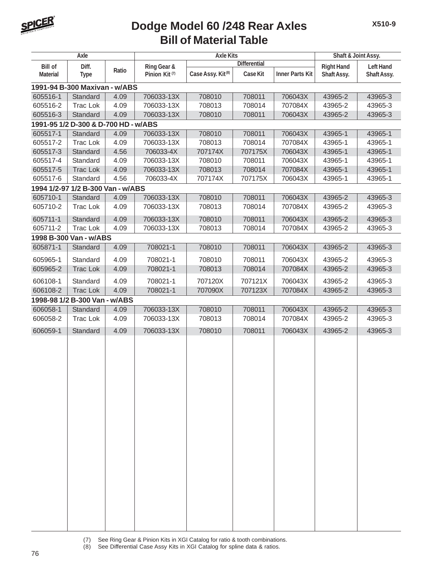

## **Bill of Material Table Dodge Model 60 /248 Rear Axles**

| Axle                          |                                      | <b>Axle Kits</b> |                           |                               |                     | Shaft & Joint Assy.    |                   |                  |  |  |
|-------------------------------|--------------------------------------|------------------|---------------------------|-------------------------------|---------------------|------------------------|-------------------|------------------|--|--|
| <b>Bill of</b>                | Diff.                                |                  | Ring Gear &               |                               | <b>Differential</b> |                        | <b>Right Hand</b> | <b>Left Hand</b> |  |  |
| <b>Material</b>               | <b>Type</b>                          | Ratio            | Pinion Kit <sup>(7)</sup> | Case Assy. Kit <sup>(8)</sup> | Case Kit            | <b>Inner Parts Kit</b> | Shaft Assy.       | Shaft Assy.      |  |  |
| 1991-94 B-300 Maxivan - w/ABS |                                      |                  |                           |                               |                     |                        |                   |                  |  |  |
| 605516-1                      | Standard                             | 4.09             | 706033-13X                | 708010                        | 708011              | 706043X                | 43965-2           | 43965-3          |  |  |
| 605516-2                      | <b>Trac Lok</b>                      | 4.09             | 706033-13X                | 708013                        | 708014              | 707084X                | 43965-2           | 43965-3          |  |  |
| 605516-3                      | Standard                             | 4.09             | 706033-13X                | 708010                        | 708011              | 706043X                | 43965-2           | 43965-3          |  |  |
|                               | 1991-95 1/2 D-300 & D-700 HD - w/ABS |                  |                           |                               |                     |                        |                   |                  |  |  |
| 605517-1                      | Standard                             | 4.09             | 706033-13X                | 708010                        | 708011              | 706043X                | 43965-1           | 43965-1          |  |  |
| 605517-2                      | Trac Lok                             | 4.09             | 706033-13X                | 708013                        | 708014              | 707084X                | 43965-1           | 43965-1          |  |  |
| 605517-3                      | Standard                             | 4.56             | 706033-4X                 | 707174X                       | 707175X             | 706043X                | 43965-1           | 43965-1          |  |  |
| 605517-4                      | Standard                             | 4.09             | 706033-13X                | 708010                        | 708011              | 706043X                | 43965-1           | 43965-1          |  |  |
| 605517-5                      | <b>Trac Lok</b>                      | 4.09             | 706033-13X                | 708013                        | 708014              | 707084X                | 43965-1           | 43965-1          |  |  |
| 605517-6                      | Standard                             | 4.56             | 706033-4X                 | 707174X                       | 707175X             | 706043X                | 43965-1           | 43965-1          |  |  |
|                               | 1994 1/2-97 1/2 B-300 Van - w/ABS    |                  |                           |                               |                     |                        |                   |                  |  |  |
| 605710-1                      | Standard                             | 4.09             | 706033-13X                | 708010                        | 708011              | 706043X                | 43965-2           | 43965-3          |  |  |
| 605710-2                      | <b>Trac Lok</b>                      | 4.09             | 706033-13X                | 708013                        | 708014              | 707084X                | 43965-2           | 43965-3          |  |  |
| 605711-1                      | Standard                             | 4.09             | 706033-13X                | 708010                        | 708011              | 706043X                | 43965-2           | 43965-3          |  |  |
| 605711-2                      | Trac Lok                             | 4.09             | 706033-13X                | 708013                        | 708014              | 707084X                | 43965-2           | 43965-3          |  |  |
|                               | 1998 B-300 Van - w/ABS               |                  |                           |                               |                     |                        |                   |                  |  |  |
| 605871-1                      | Standard                             | 4.09             | 708021-1                  | 708010                        | 708011              | 706043X                | 43965-2           | 43965-3          |  |  |
| 605965-1                      | Standard                             | 4.09             | 708021-1                  | 708010                        | 708011              | 706043X                | 43965-2           | 43965-3          |  |  |
| 605965-2                      | <b>Trac Lok</b>                      | 4.09             | 708021-1                  | 708013                        | 708014              | 707084X                | 43965-2           | 43965-3          |  |  |
| 606108-1                      | Standard                             | 4.09             | 708021-1                  | 707120X                       | 707121X             | 706043X                | 43965-2           | 43965-3          |  |  |
| 606108-2                      | <b>Trac Lok</b>                      | 4.09             | 708021-1                  | 707090X                       | 707123X             | 707084X                | 43965-2           | 43965-3          |  |  |
|                               | 1998-98 1/2 B-300 Van - w/ABS        |                  |                           |                               |                     |                        |                   |                  |  |  |
| 606058-1                      | Standard                             | 4.09             | 706033-13X                | 708010                        | 708011              | 706043X                | 43965-2           | 43965-3          |  |  |
| 606058-2                      | Trac Lok                             | 4.09             | 706033-13X                | 708013                        | 708014              | 707084X                | 43965-2           | 43965-3          |  |  |
| 606059-1                      |                                      |                  |                           |                               |                     |                        |                   |                  |  |  |
|                               | Standard                             | 4.09             | 706033-13X                | 708010                        | 708011              | 706043X                | 43965-2           | 43965-3          |  |  |
|                               |                                      |                  |                           |                               |                     |                        |                   |                  |  |  |
|                               |                                      |                  |                           |                               |                     |                        |                   |                  |  |  |
|                               |                                      |                  |                           |                               |                     |                        |                   |                  |  |  |
|                               |                                      |                  |                           |                               |                     |                        |                   |                  |  |  |
|                               |                                      |                  |                           |                               |                     |                        |                   |                  |  |  |
|                               |                                      |                  |                           |                               |                     |                        |                   |                  |  |  |
|                               |                                      |                  |                           |                               |                     |                        |                   |                  |  |  |
|                               |                                      |                  |                           |                               |                     |                        |                   |                  |  |  |
|                               |                                      |                  |                           |                               |                     |                        |                   |                  |  |  |
|                               |                                      |                  |                           |                               |                     |                        |                   |                  |  |  |
|                               |                                      |                  |                           |                               |                     |                        |                   |                  |  |  |
|                               |                                      |                  |                           |                               |                     |                        |                   |                  |  |  |
|                               |                                      |                  |                           |                               |                     |                        |                   |                  |  |  |
|                               |                                      |                  |                           |                               |                     |                        |                   |                  |  |  |
|                               |                                      |                  |                           |                               |                     |                        |                   |                  |  |  |
|                               |                                      |                  |                           |                               |                     |                        |                   |                  |  |  |
|                               |                                      |                  |                           |                               |                     |                        |                   |                  |  |  |
|                               |                                      |                  |                           |                               |                     |                        |                   |                  |  |  |
|                               |                                      |                  |                           |                               |                     |                        |                   |                  |  |  |
|                               |                                      |                  |                           |                               |                     |                        |                   |                  |  |  |
|                               |                                      |                  |                           |                               |                     |                        |                   |                  |  |  |

(7) See Ring Gear & Pinion Kits in XGI Catalog for ratio & tooth combinations. (8) See Differential Case Assy Kits in XGI Catalog for spline data & ratios.